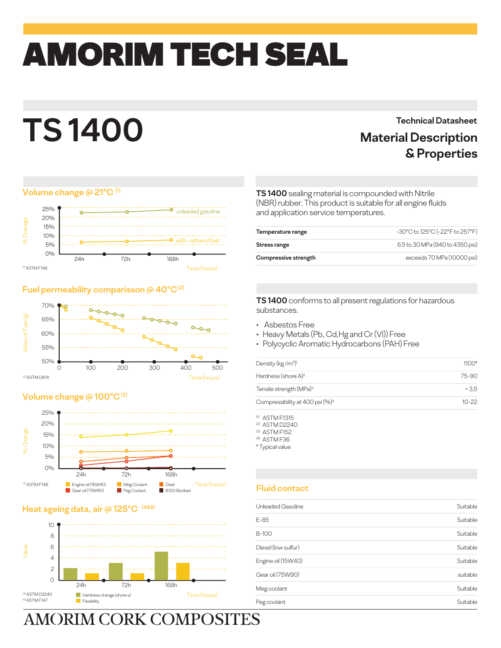# amorim TECH SEAL

## **TS 1400**

#### **Volume change @ 21°C (1)**



#### **Fuel permeability comparisson @ 40°C (2)**



#### **Volume change @ 100°C (3)**



#### **Heat ageing data, air @**



## **AMORIM CORK COMPOSITES**

### **Technical Datasheet Material Description & Properties**

#### **TS 1400** sealing material is compounded with Nitrile (NBR) rubber. This product is suitable for all engine fluids and application service temperatures.

| Temperature range    | -30°C to 125°C (-22°F to 257°F) |
|----------------------|---------------------------------|
| Stress range         | 6.5 to 30 MPa (940 to 4350 psi) |
| Compressive strength | exceeds 70 MPa (10000 psi)      |

#### **TS 1400** conforms to all present regulations for hazardous substances.

- Asbestos Free
- Heavy Metals (Pb, Cd,Hg and Cr (VI)) Free
- Polycyclic Aromatic Hydrocarbons (PAH) Free

| Density (kg/m <sup>3)1</sup>                | $1100*$   |
|---------------------------------------------|-----------|
| Hardness (shore A) <sup>2</sup>             | 75-90     |
| Tensile strength (MPa) <sup>3</sup>         | >3.5      |
| Compressibility at 400 psi (%) <sup>4</sup> | $10 - 22$ |

 $<sup>(t)</sup>$  ASTM F1315</sup>

(2) ASTM D2240

(3) ASTM F152

(4) ASTM F36 \* Typical value

#### **Fluid contact**

| Unleaded Gasoline   | Suitable |
|---------------------|----------|
| E-85                | Suitable |
| B-100               | Suitable |
| Diesel (Iow sulfur) | Suitable |
| Engine oil (15W40)  | Suitable |
| Gear oil (75W90)    | suitable |
| Meg coolant         | Suitable |
| Peg coolant         | Suitable |